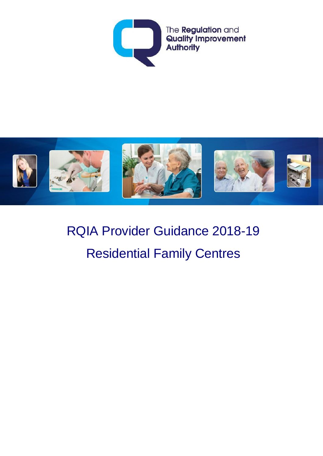



# RQIA Provider Guidance 2018-19 Residential Family Centres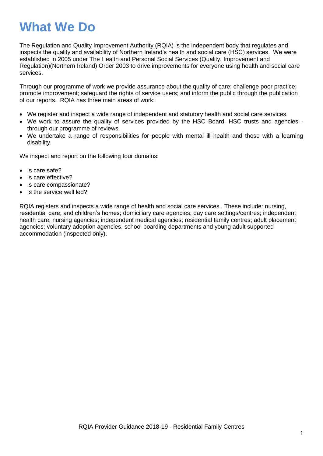## **What We Do**

The Regulation and Quality Improvement Authority (RQIA) is the independent body that regulates and inspects the quality and availability of Northern Ireland's health and social care (HSC) services. We were established in 2005 under The Health and Personal Social Services (Quality, Improvement and Regulation)(Northern Ireland) Order 2003 to drive improvements for everyone using health and social care services.

Through our programme of work we provide assurance about the quality of care; challenge poor practice; promote improvement; safeguard the rights of service users; and inform the public through the publication of our reports. RQIA has three main areas of work:

- We register and inspect a wide range of independent and statutory health and social care services.
- We work to assure the quality of services provided by the HSC Board, HSC trusts and agencies through our programme of reviews.
- We undertake a range of responsibilities for people with mental ill health and those with a learning disability.

We inspect and report on the following four domains:

- Is care safe?
- Is care effective?
- Is care compassionate?
- Is the service well led?

RQIA registers and inspects a wide range of health and social care services. These include: nursing, residential care, and children's homes; domiciliary care agencies; day care settings/centres; independent health care; nursing agencies; independent medical agencies; residential family centres; adult placement agencies; voluntary adoption agencies, school boarding departments and young adult supported accommodation (inspected only).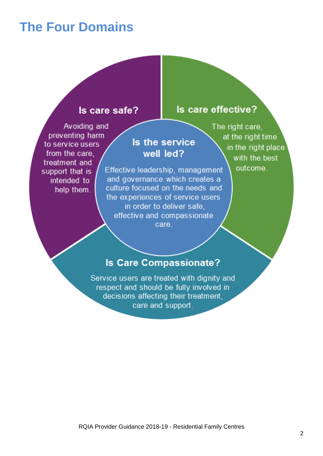## **The Four Domains**

#### Is care safe?

Avoiding and preventing harm to service users from the care. treatment and support that is intended to help them.

### Is the service well led?

Effective leadership, management and governance which creates a culture focused on the needs and the experiences of service users in order to deliver safe, effective and compassionate care

The right care. at the right time in the right place with the best outcome.

Is care effective?

### **Is Care Compassionate?**

Service users are treated with dignity and respect and should be fully involved in decisions affecting their treatment. care and support.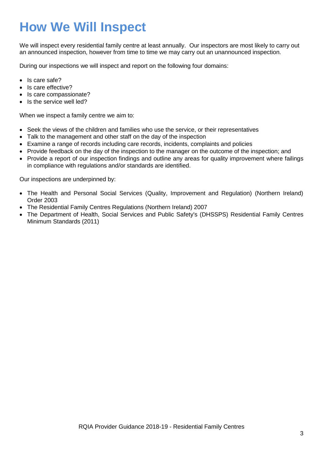## **How We Will Inspect**

We will inspect every residential family centre at least annually. Our inspectors are most likely to carry out an announced inspection, however from time to time we may carry out an unannounced inspection.

During our inspections we will inspect and report on the following four domains:

- Is care safe?
- Is care effective?
- Is care compassionate?
- Is the service well led?

When we inspect a family centre we aim to:

- Seek the views of the children and families who use the service, or their representatives
- Talk to the management and other staff on the day of the inspection
- Examine a range of records including care records, incidents, complaints and policies
- Provide feedback on the day of the inspection to the manager on the outcome of the inspection; and
- Provide a report of our inspection findings and outline any areas for quality improvement where failings in compliance with regulations and/or standards are identified.

Our inspections are underpinned by:

- The Health and Personal Social Services (Quality, Improvement and Regulation) (Northern Ireland) Order 2003
- The Residential Family Centres Regulations (Northern Ireland) 2007
- The Department of Health, Social Services and Public Safety's (DHSSPS) Residential Family Centres Minimum Standards (2011)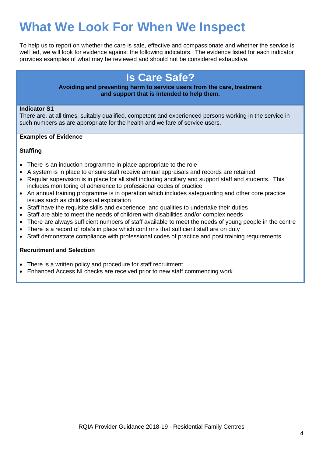## **What We Look For When We Inspect**

To help us to report on whether the care is safe, effective and compassionate and whether the service is well led, we will look for evidence against the following indicators. The evidence listed for each indicator provides examples of what may be reviewed and should not be considered exhaustive.

## **Is Care Safe?**

#### **Avoiding and preventing harm to service users from the care, treatment and support that is intended to help them.**

#### **Indicator S1**

There are, at all times, suitably qualified, competent and experienced persons working in the service in such numbers as are appropriate for the health and welfare of service users.

#### **Examples of Evidence**

#### **Staffing**

- There is an induction programme in place appropriate to the role
- A system is in place to ensure staff receive annual appraisals and records are retained
- Regular supervision is in place for all staff including ancillary and support staff and students. This includes monitoring of adherence to professional codes of practice
- An annual training programme is in operation which includes safeguarding and other core practice issues such as child sexual exploitation
- Staff have the requisite skills and experience and qualities to undertake their duties
- Staff are able to meet the needs of children with disabilities and/or complex needs
- There are always sufficient numbers of staff available to meet the needs of young people in the centre
- There is a record of rota's in place which confirms that sufficient staff are on duty
- Staff demonstrate compliance with professional codes of practice and post training requirements

#### **Recruitment and Selection**

- There is a written policy and procedure for staff recruitment
- Enhanced Access NI checks are received prior to new staff commencing work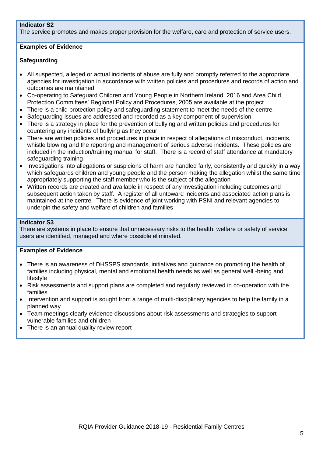#### **Indicator S2**

The service promotes and makes proper provision for the welfare, care and protection of service users.

#### **Examples of Evidence**

#### **Safeguarding**

- All suspected, alleged or actual incidents of abuse are fully and promptly referred to the appropriate agencies for investigation in accordance with written policies and procedures and records of action and outcomes are maintained
- Co-operating to Safeguard Children and Young People in Northern Ireland, 2016 and Area Child Protection Committees' Regional Policy and Procedures, 2005 are available at the project
- There is a child protection policy and safeguarding statement to meet the needs of the centre.
- Safeguarding issues are addressed and recorded as a key component of supervision
- There is a strategy in place for the prevention of bullying and written policies and procedures for countering any incidents of bullying as they occur
- There are written policies and procedures in place in respect of allegations of misconduct, incidents, whistle blowing and the reporting and management of serious adverse incidents. These policies are included in the induction/training manual for staff. There is a record of staff attendance at mandatory safeguarding training
- Investigations into allegations or suspicions of harm are handled fairly, consistently and quickly in a way which safeguards children and young people and the person making the allegation whilst the same time appropriately supporting the staff member who is the subject of the allegation
- Written records are created and available in respect of any investigation including outcomes and subsequent action taken by staff. A register of all untoward incidents and associated action plans is maintained at the centre. There is evidence of joint working with PSNI and relevant agencies to underpin the safety and welfare of children and families

#### **Indicator S3**

There are systems in place to ensure that unnecessary risks to the health, welfare or safety of service users are identified, managed and where possible eliminated.

- There is an awareness of DHSSPS standards, initiatives and guidance on promoting the health of families including physical, mental and emotional health needs as well as general well -being and lifestyle
- Risk assessments and support plans are completed and regularly reviewed in co-operation with the families
- Intervention and support is sought from a range of multi-disciplinary agencies to help the family in a planned way
- Team meetings clearly evidence discussions about risk assessments and strategies to support vulnerable families and children
- There is an annual quality review report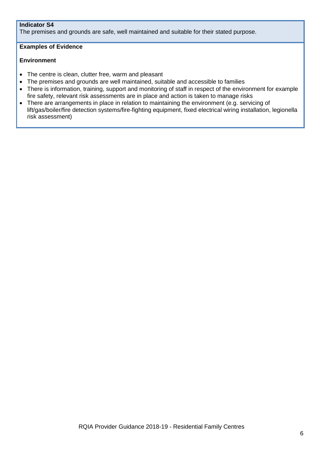#### **Indicator S4**

The premises and grounds are safe, well maintained and suitable for their stated purpose.

#### **Examples of Evidence**

#### **Environment**

- The centre is clean, clutter free, warm and pleasant
- The premises and grounds are well maintained, suitable and accessible to families
- There is information, training, support and monitoring of staff in respect of the environment for example fire safety, relevant risk assessments are in place and action is taken to manage risks
- There are arrangements in place in relation to maintaining the environment (e.g. servicing of lift/gas/boiler/fire detection systems/fire-fighting equipment, fixed electrical wiring installation, legionella risk assessment)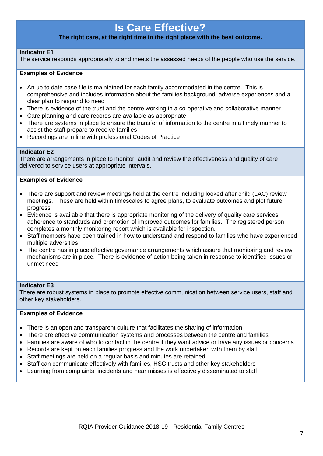### **Is Care Effective?**

#### **The right care, at the right time in the right place with the best outcome.**

#### **Indicator E1**

The service responds appropriately to and meets the assessed needs of the people who use the service.

#### **Examples of Evidence**

- An up to date case file is maintained for each family accommodated in the centre. This is comprehensive and includes information about the families background, adverse experiences and a clear plan to respond to need
- There is evidence of the trust and the centre working in a co-operative and collaborative manner
- Care planning and care records are available as appropriate
- There are systems in place to ensure the transfer of information to the centre in a timely manner to assist the staff prepare to receive families
- Recordings are in line with professional Codes of Practice

#### **Indicator E2**

There are arrangements in place to monitor, audit and review the effectiveness and quality of care delivered to service users at appropriate intervals.

#### **Examples of Evidence**

- There are support and review meetings held at the centre including looked after child (LAC) review meetings. These are held within timescales to agree plans, to evaluate outcomes and plot future progress
- Evidence is available that there is appropriate monitoring of the delivery of quality care services, adherence to standards and promotion of improved outcomes for families. The registered person completes a monthly monitoring report which is available for inspection.
- Staff members have been trained in how to understand and respond to families who have experienced multiple adversities
- The centre has in place effective governance arrangements which assure that monitoring and review mechanisms are in place. There is evidence of action being taken in response to identified issues or unmet need

#### **Indicator E3**

There are robust systems in place to promote effective communication between service users, staff and other key stakeholders.

- There is an open and transparent culture that facilitates the sharing of information
- There are effective communication systems and processes between the centre and families
- Families are aware of who to contact in the centre if they want advice or have any issues or concerns
- Records are kept on each families progress and the work undertaken with them by staff
- Staff meetings are held on a regular basis and minutes are retained
- Staff can communicate effectively with families, HSC trusts and other key stakeholders
- Learning from complaints, incidents and near misses is effectively disseminated to staff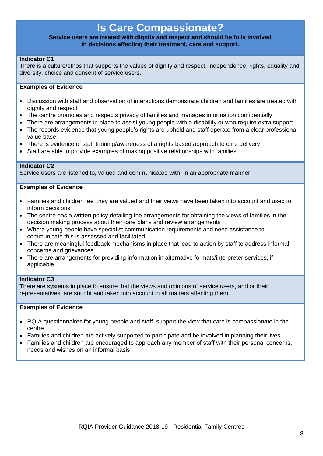### **Is Care Compassionate?**

#### **Service users are treated with dignity and respect and should be fully involved in decisions affecting their treatment, care and support.**

#### **Indicator C1**

There is a culture/ethos that supports the values of dignity and respect, independence, rights, equality and diversity, choice and consent of service users.

#### **Examples of Evidence**

- Discussion with staff and observation of interactions demonstrate children and families are treated with dignity and respect
- The centre promotes and respects privacy of families and manages information confidentially
- There are arrangements in place to assist young people with a disability or who require extra support
- The records evidence that young people's rights are upheld and staff operate from a clear professional value base
- There is evidence of staff training/awareness of a rights based approach to care delivery
- Staff are able to provide examples of making positive relationships with families

#### **Indicator C2**

Service users are listened to, valued and communicated with, in an appropriate manner.

#### **Examples of Evidence**

- Families and children feel they are valued and their views have been taken into account and used to inform decisions
- The centre has a written policy detailing the arrangements for obtaining the views of families in the decision making process about their care plans and review arrangements
- Where young people have specialist communication requirements and need assistance to communicate this is assessed and facilitated
- There are meaningful feedback mechanisms in place that lead to action by staff to address informal concerns and grievances
- There are arrangements for providing information in alternative formats/interpreter services, if applicable

#### **Indicator C3**

There are systems in place to ensure that the views and opinions of service users, and or their representatives, are sought and taken into account in all matters affecting them.

- RQIA questionnaires for young people and staff support the view that care is compassionate in the centre
- Families and children are actively supported to participate and be involved in planning their lives
- Families and children are encouraged to approach any member of staff with their personal concerns, needs and wishes on an informal basis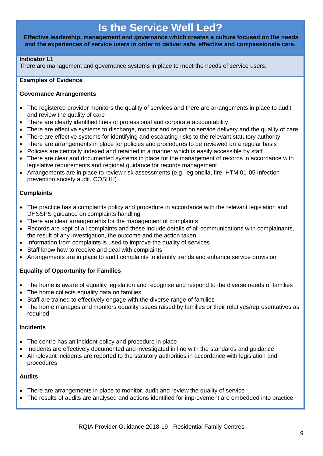### **Is the Service Well Led?**

**Effective leadership, management and governance which creates a culture focused on the needs and the experiences of service users in order to deliver safe, effective and compassionate care.**

#### **Indicator L1**

There are management and governance systems in place to meet the needs of service users.

#### **Examples of Evidence**

#### **Governance Arrangements**

- The registered provider monitors the quality of services and there are arrangements in place to audit and review the quality of care
- There are clearly identified lines of professional and corporate accountability
- There are effective systems to discharge, monitor and report on service delivery and the quality of care
- There are effective systems for identifying and escalating risks to the relevant statutory authority
- There are arrangements in place for policies and procedures to be reviewed on a regular basis
- Policies are centrally indexed and retained in a manner which is easily accessible by staff
- There are clear and documented systems in place for the management of records in accordance with legislative requirements and regional guidance for records management
- Arrangements are in place to review risk assessments (e.g. legionella, fire, HTM 01-05 Infection prevention society audit, COSHH)

#### **Complaints**

- The practice has a complaints policy and procedure in accordance with the relevant legislation and DHSSPS guidance on complaints handling
- There are clear arrangements for the management of complaints
- Records are kept of all complaints and these include details of all communications with complainants, the result of any investigation, the outcome and the action taken
- Information from complaints is used to improve the quality of services
- Staff know how to receive and deal with complaints
- Arrangements are in place to audit complaints to identify trends and enhance service provision

#### **Equality of Opportunity for Families**

- The home is aware of equality legislation and recognise and respond to the diverse needs of families
- The home collects equality data on families
- Staff are trained to effectively engage with the diverse range of families
- The home manages and monitors equality issues raised by families or their relatives/representatives as required

#### **Incidents**

- The centre has an incident policy and procedure in place
- Incidents are effectively documented and investigated in line with the standards and quidance
- All relevant incidents are reported to the statutory authorities in accordance with legislation and procedures

#### **Audits**

- There are arrangements in place to monitor, audit and review the quality of service
- The results of audits are analysed and actions identified for improvement are embedded into practice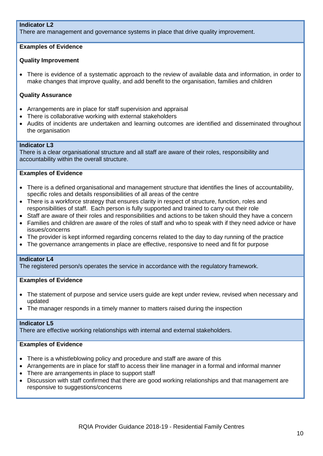#### **Indicator L2**

There are management and governance systems in place that drive quality improvement.

#### **Examples of Evidence**

#### **Quality Improvement**

 There is evidence of a systematic approach to the review of available data and information, in order to make changes that improve quality, and add benefit to the organisation, families and children

#### **Quality Assurance**

- Arrangements are in place for staff supervision and appraisal
- There is collaborative working with external stakeholders
- Audits of incidents are undertaken and learning outcomes are identified and disseminated throughout the organisation

#### **Indicator L3**

There is a clear organisational structure and all staff are aware of their roles, responsibility and accountability within the overall structure.

#### **Examples of Evidence**

- There is a defined organisational and management structure that identifies the lines of accountability, specific roles and details responsibilities of all areas of the centre
- There is a workforce strategy that ensures clarity in respect of structure, function, roles and responsibilities of staff. Each person is fully supported and trained to carry out their role
- Staff are aware of their roles and responsibilities and actions to be taken should they have a concern
- Families and children are aware of the roles of staff and who to speak with if they need advice or have issues/concerns
- The provider is kept informed regarding concerns related to the day to day running of the practice
- The governance arrangements in place are effective, responsive to need and fit for purpose

#### **Indicator L4**

The registered person/s operates the service in accordance with the regulatory framework.

#### **Examples of Evidence**

- The statement of purpose and service users quide are kept under review, revised when necessary and updated
- The manager responds in a timely manner to matters raised during the inspection

#### **Indicator L5**

There are effective working relationships with internal and external stakeholders.

- There is a whistleblowing policy and procedure and staff are aware of this
- Arrangements are in place for staff to access their line manager in a formal and informal manner
- There are arrangements in place to support staff
- Discussion with staff confirmed that there are good working relationships and that management are responsive to suggestions/concerns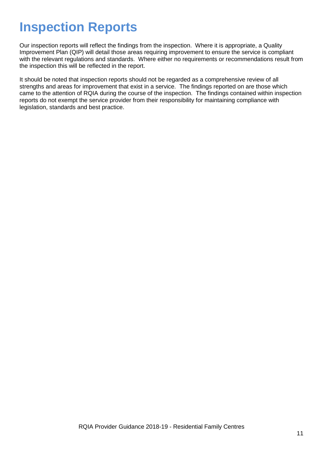## **Inspection Reports**

Our inspection reports will reflect the findings from the inspection. Where it is appropriate, a Quality Improvement Plan (QIP) will detail those areas requiring improvement to ensure the service is compliant with the relevant regulations and standards. Where either no requirements or recommendations result from the inspection this will be reflected in the report.

It should be noted that inspection reports should not be regarded as a comprehensive review of all strengths and areas for improvement that exist in a service. The findings reported on are those which came to the attention of RQIA during the course of the inspection. The findings contained within inspection reports do not exempt the service provider from their responsibility for maintaining compliance with legislation, standards and best practice.